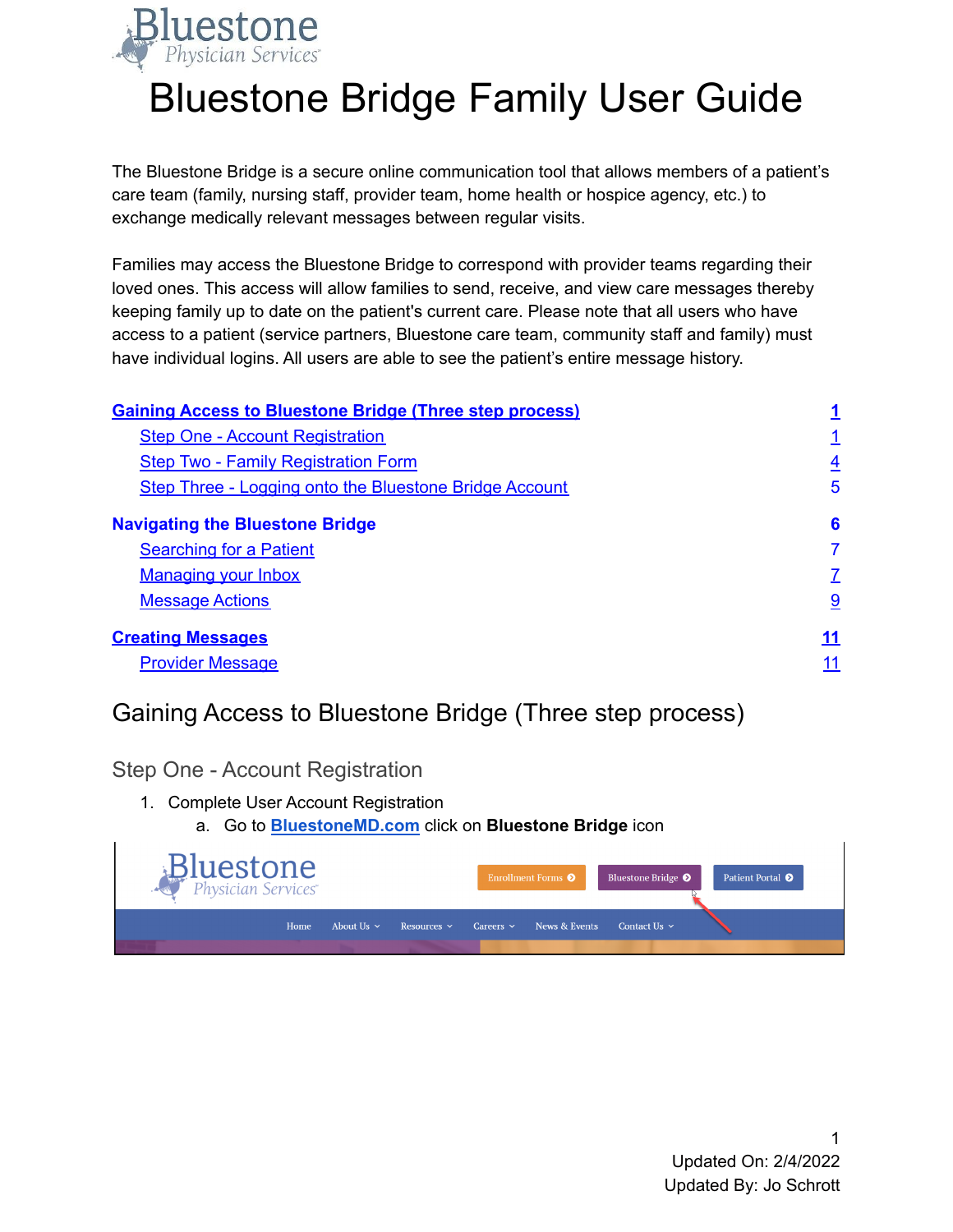

# Bluestone Bridge Family User Guide

The Bluestone Bridge is a secure online communication tool that allows members of a patient's care team (family, nursing staff, provider team, home health or hospice agency, etc.) to exchange medically relevant messages between regular visits.

Families may access the Bluestone Bridge to correspond with provider teams regarding their loved ones. This access will allow families to send, receive, and view care messages thereby keeping family up to date on the patient's current care. Please note that all users who have access to a patient (service partners, Bluestone care team, community staff and family) must have individual logins. All users are able to see the patient's entire message history.

| <b>Gaining Access to Bluestone Bridge (Three step process)</b> |                |
|----------------------------------------------------------------|----------------|
| <b>Step One - Account Registration</b>                         |                |
| <b>Step Two - Family Registration Form</b>                     | $\overline{4}$ |
| <b>Step Three - Logging onto the Bluestone Bridge Account</b>  | 5              |
| <b>Navigating the Bluestone Bridge</b>                         | 6              |
| <b>Searching for a Patient</b>                                 | 7              |
| <b>Managing your Inbox</b>                                     | Z              |
| <b>Message Actions</b>                                         | 9              |
| <b>Creating Messages</b>                                       | <u>11</u>      |
| <b>Provider Message</b>                                        |                |

## <span id="page-0-0"></span>Gaining Access to Bluestone Bridge (Three step process)

<span id="page-0-1"></span>Step One - Account Registration

- 1. Complete User Account Registration
	- a. Go to **[BluestoneMD.com](http://www.bluestonemd.com)** click on **Bluestone Bridge** icon

| <b>Bluestone</b> |      |                 |                  |                | Enrollment Forms <sup>O</sup> | Bluestone Bridge <sup>O</sup> | Patient Portal <b>O</b> |  |
|------------------|------|-----------------|------------------|----------------|-------------------------------|-------------------------------|-------------------------|--|
|                  | Home | About Us $\sim$ | Resources $\sim$ | $Careers \sim$ | News & Events                 | Contact Us $\sim$             |                         |  |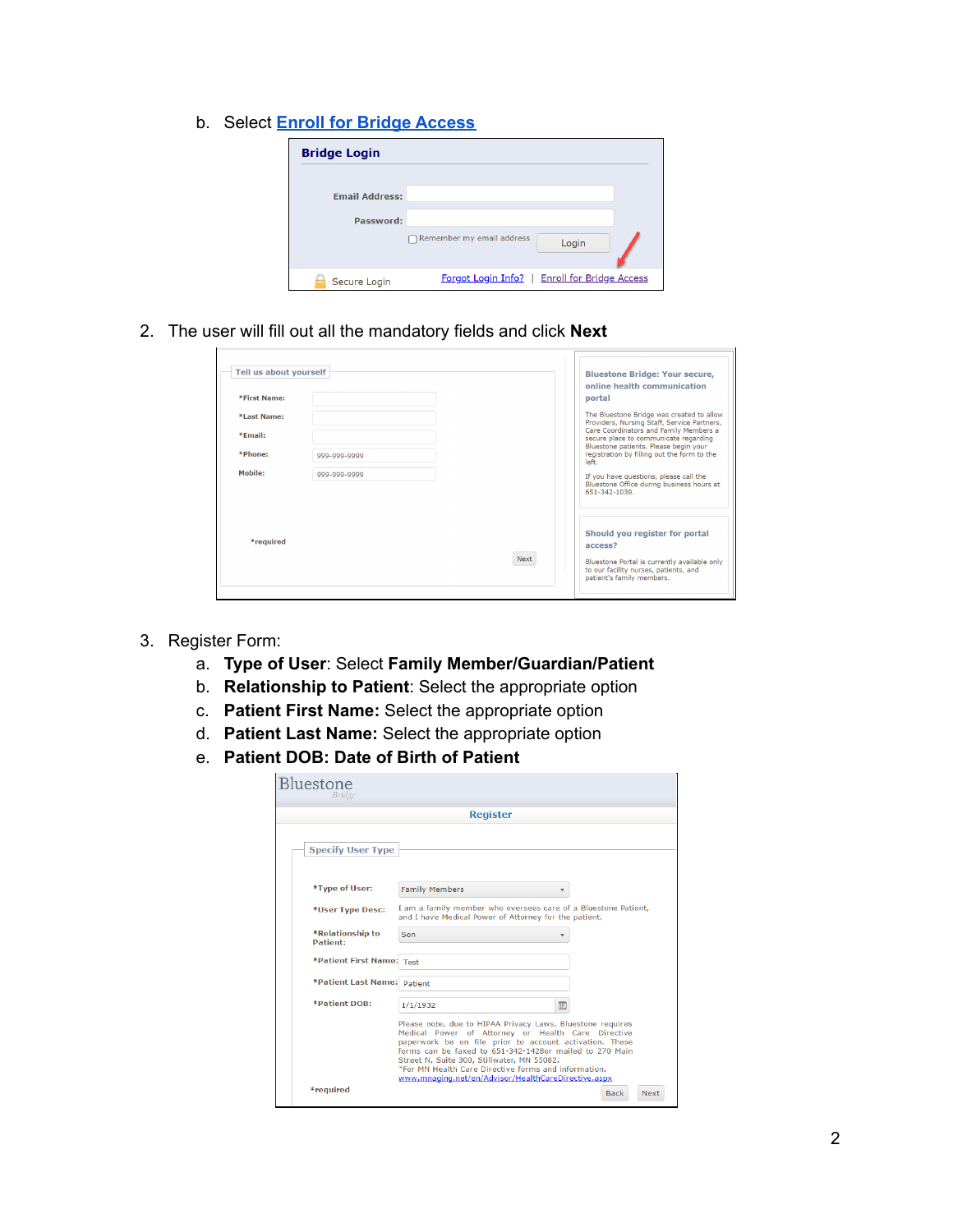b. Select **Enroll for Bridge [Access](https://bps-216.bluestonebridge.com/Register.html)**

| <b>Bridge Login</b>   |                                               |  |
|-----------------------|-----------------------------------------------|--|
| <b>Email Address:</b> |                                               |  |
| Password:             | Remember my email address<br>Login            |  |
| Secure Login          | Forgot Login Info?   Enroll for Bridge Access |  |

2. The user will fill out all the mandatory fields and click **Next**

| Tell us about yourself |              | <b>Bluestone Bridge: Your secure,</b><br>online health communication                                                     |
|------------------------|--------------|--------------------------------------------------------------------------------------------------------------------------|
| <b>*First Name:</b>    |              | portal                                                                                                                   |
| *Last Name:            |              | The Bluestone Bridge was created to allow<br>Providers, Nursing Staff, Service Partners,                                 |
| *Email:                |              | Care Coordinators and Family Members a<br>secure place to communicate regarding<br>Bluestone patients. Please begin your |
| *Phone:                | 999-999-9999 | registration by filling out the form to the<br>left.                                                                     |
| Mobile:                | 999-999-9999 | If you have questions, please call the<br>Bluestone Office during business hours at                                      |
|                        |              | 651-342-1039.                                                                                                            |
| *required              |              | Should you register for portal<br>access2                                                                                |
|                        |              | Next                                                                                                                     |
|                        |              | Bluestone Portal is currently available only<br>to our facility nurses, patients, and<br>patient's family members.       |

3. Register Form:

 $\blacksquare$ 

- a. **Type of User**: Select **Family Member/Guardian/Patient**
- b. **Relationship to Patient**: Select the appropriate option
- c. **Patient First Name:** Select the appropriate option
- d. **Patient Last Name:** Select the appropriate option
- e. **Patient DOB: Date of Birth of Patient**

| <b>Bluestone</b><br>Bridge          |                                                                                                                                                                                                                                                                                                                                                                                                     |                            |
|-------------------------------------|-----------------------------------------------------------------------------------------------------------------------------------------------------------------------------------------------------------------------------------------------------------------------------------------------------------------------------------------------------------------------------------------------------|----------------------------|
|                                     | <b>Register</b>                                                                                                                                                                                                                                                                                                                                                                                     |                            |
| <b>Specify User Type</b>            |                                                                                                                                                                                                                                                                                                                                                                                                     |                            |
|                                     |                                                                                                                                                                                                                                                                                                                                                                                                     |                            |
| *Type of User:                      | <b>Family Members</b><br>▼                                                                                                                                                                                                                                                                                                                                                                          |                            |
| *User Type Desc:                    | I am a family member who oversees care of a Bluestone Patient,<br>and I have Medical Power of Attorney for the patient.                                                                                                                                                                                                                                                                             |                            |
| *Relationship to<br><b>Patient:</b> | Son                                                                                                                                                                                                                                                                                                                                                                                                 |                            |
| *Patient First Name: Test           |                                                                                                                                                                                                                                                                                                                                                                                                     |                            |
| *Patient Last Name: Patient         |                                                                                                                                                                                                                                                                                                                                                                                                     |                            |
| <b>*Patient DOB:</b>                | 筒<br>1/1/1932                                                                                                                                                                                                                                                                                                                                                                                       |                            |
|                                     | Please note, due to HIPAA Privacy Laws, Bluestone requires<br>Medical Power of Attorney or Health Care Directive<br>paperwork be on file prior to account activation. These<br>forms can be faxed to 651-342-1428or mailed to 270 Main<br>Street N. Suite 300. Stillwater, MN 55082.<br>*For MN Health Care Directive forms and information.<br>www.mnaging.net/en/Advisor/HealthCareDirective.aspx |                            |
| *required                           |                                                                                                                                                                                                                                                                                                                                                                                                     | <b>Back</b><br><b>Next</b> |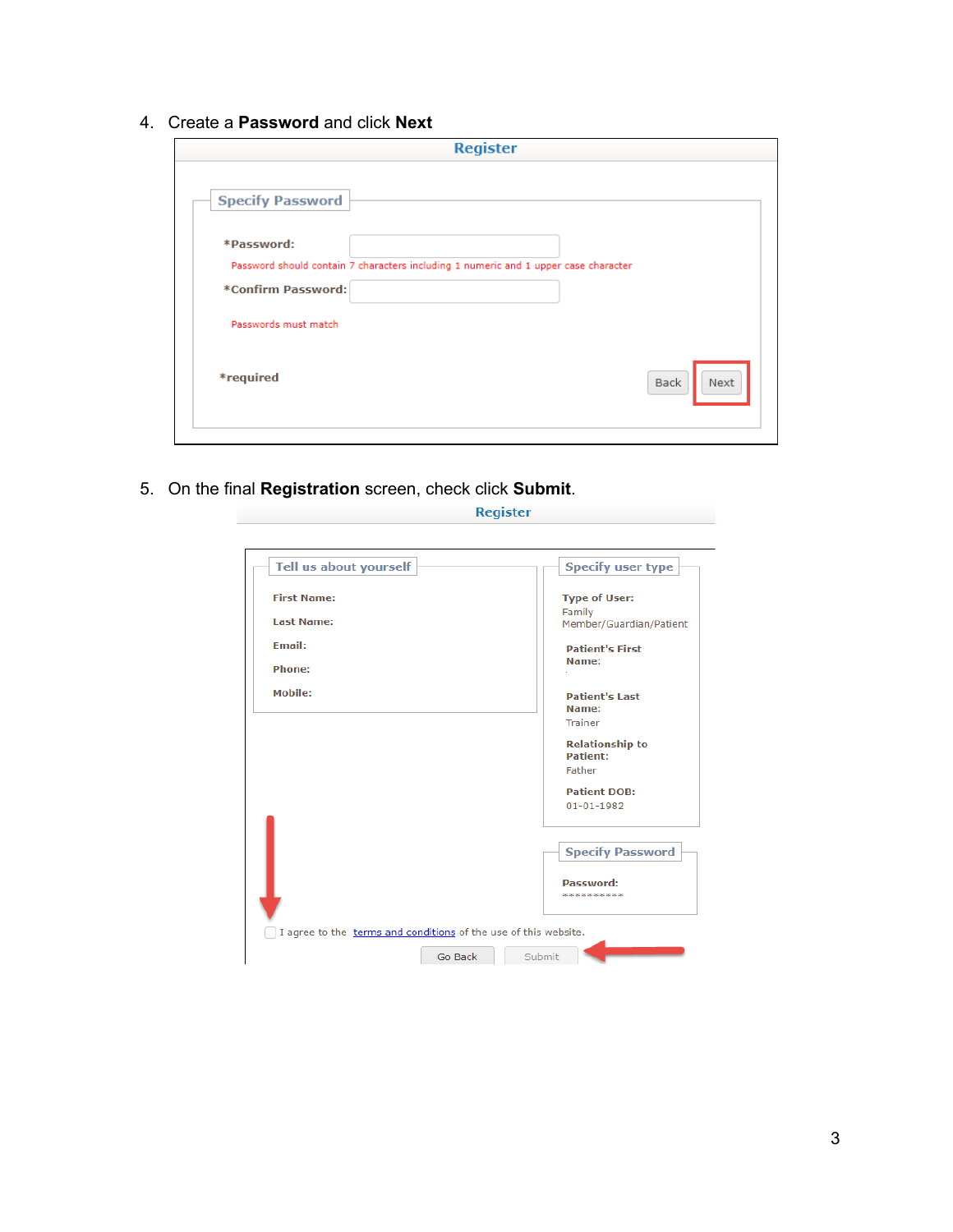4. Create a **Password** and click **Next**

| <b>Register</b>                                                                                                         |                     |
|-------------------------------------------------------------------------------------------------------------------------|---------------------|
| <b>Specify Password</b>                                                                                                 |                     |
| *Password:<br>Password should contain 7 characters including 1 numeric and 1 upper case character<br>*Confirm Password: |                     |
| Passwords must match                                                                                                    |                     |
| *required                                                                                                               | <b>Back</b><br>Next |
|                                                                                                                         |                     |

5. On the final **Registration** screen, check click **Submit**.

| Tell us about yourself                                          | <b>Specify user type</b>                  |
|-----------------------------------------------------------------|-------------------------------------------|
| <b>First Name:</b>                                              | <b>Type of User:</b>                      |
| <b>Last Name:</b>                                               | Family<br>Member/Guardian/Patient         |
| <b>Fmail:</b>                                                   | <b>Patient's First</b><br>Name:           |
| <b>Phone:</b>                                                   |                                           |
| Mobile:                                                         | <b>Patient's Last</b><br>Name:            |
|                                                                 | <b>Trainer</b>                            |
|                                                                 | <b>Relationship to</b><br><b>Patient:</b> |
|                                                                 | Father                                    |
|                                                                 | <b>Patient DOB:</b><br>$01 - 01 - 1982$   |
|                                                                 |                                           |
|                                                                 | <b>Specify Password</b>                   |
|                                                                 | Password:                                 |
|                                                                 |                                           |
| I agree to the terms and conditions of the use of this website. |                                           |
| Go Back                                                         | Submit                                    |

Register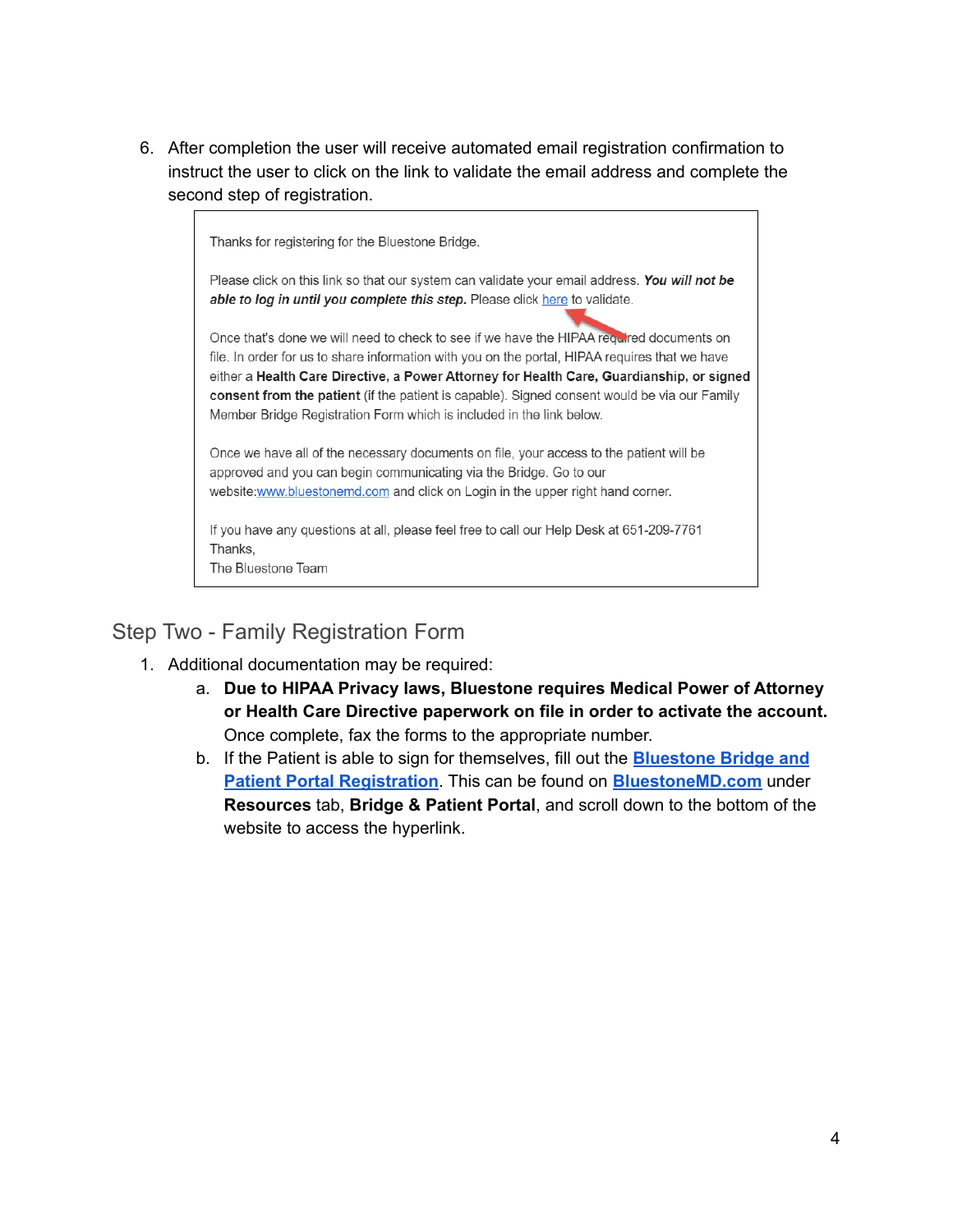6. After completion the user will receive automated email registration confirmation to instruct the user to click on the link to validate the email address and complete the second step of registration.



The Bluestone Team

## <span id="page-3-0"></span>Step Two - Family Registration Form

- 1. Additional documentation may be required:
	- a. **Due to HIPAA Privacy laws, Bluestone requires Medical Power of Attorney or Health Care Directive paperwork on file in order to activate the account.** Once complete, fax the forms to the appropriate number.
	- b. If the Patient is able to sign for themselves, fill out the **[Bluestone](http://bluestonemd.com/wp-content/uploads/2021/05/Bluestone-Bridge-Patient-Portal-Registration-Form-4.2021.pdf) Bridge and Patient Portal [Registration](http://bluestonemd.com/wp-content/uploads/2021/05/Bluestone-Bridge-Patient-Portal-Registration-Form-4.2021.pdf)**. This can be found on **[BluestoneMD.com](http://www.bluestonemd.com)** under **Resources** tab, **Bridge & Patient Portal**, and scroll down to the bottom of the website to access the hyperlink.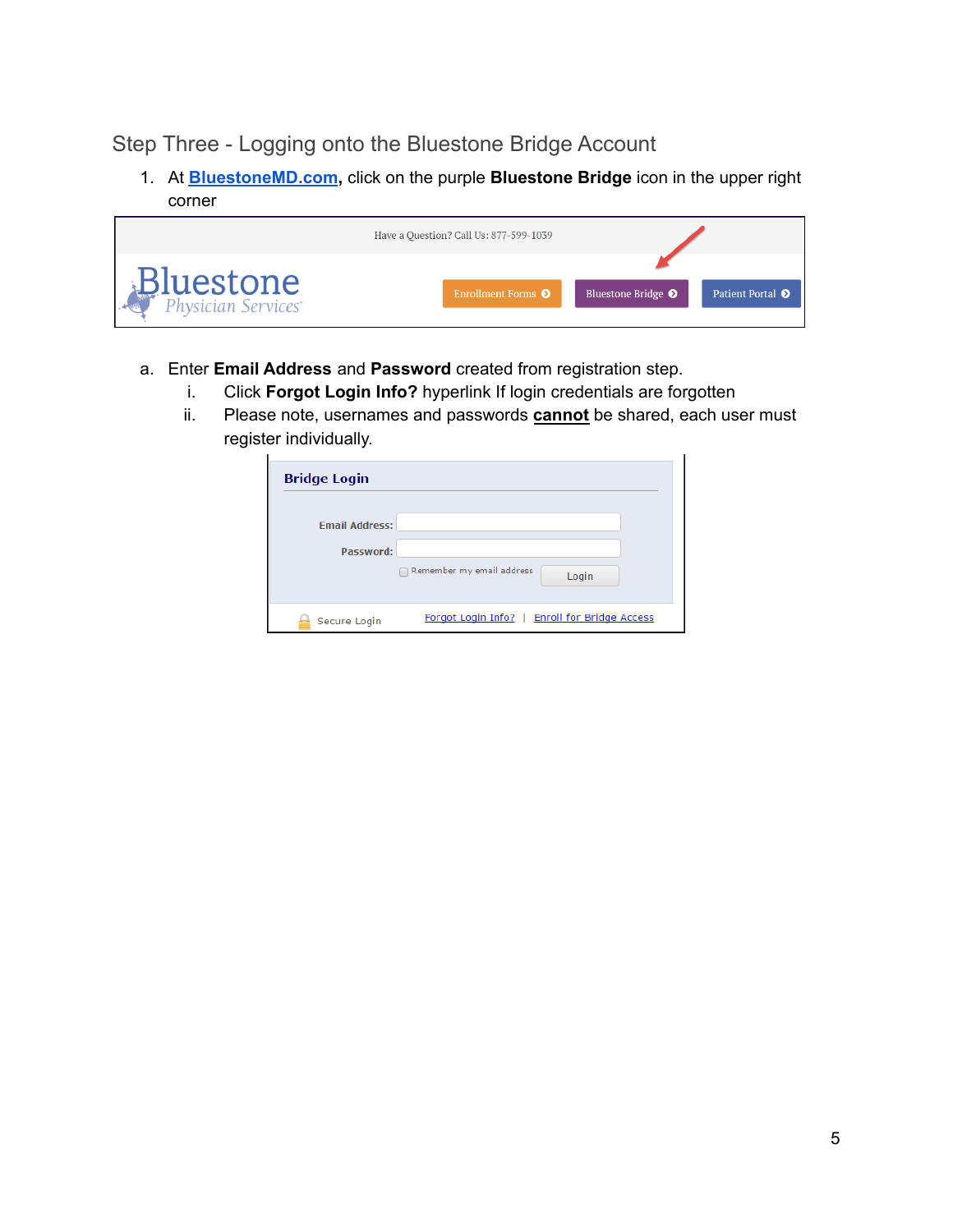### <span id="page-4-0"></span>Step Three - Logging onto the Bluestone Bridge Account

1. At **[BluestoneMD.com](https://bluestonemd.com/),** click on the purple **Bluestone Bridge** icon in the upper right corner

|                  | Have a Question? Call Us: 877-599-1039 |                               |                         |
|------------------|----------------------------------------|-------------------------------|-------------------------|
| <b>Bluestone</b> | Enrollment Forms <sup>O</sup>          | Bluestone Bridge <sup>O</sup> | Patient Portal <b>O</b> |

- a. Enter **Email Address** and **Password** created from registration step.
	- i. Click **Forgot Login Info?** hyperlink If login credentials are forgotten
	- ii. Please note, usernames and passwords **cannot** be shared, each user must register individually.

| <b>Bridge Login</b>                |                                               |
|------------------------------------|-----------------------------------------------|
| <b>Email Address:</b><br>Password: |                                               |
|                                    | Remember my email address<br>Login            |
| Secure Login                       | Forgot Login Info?   Enroll for Bridge Access |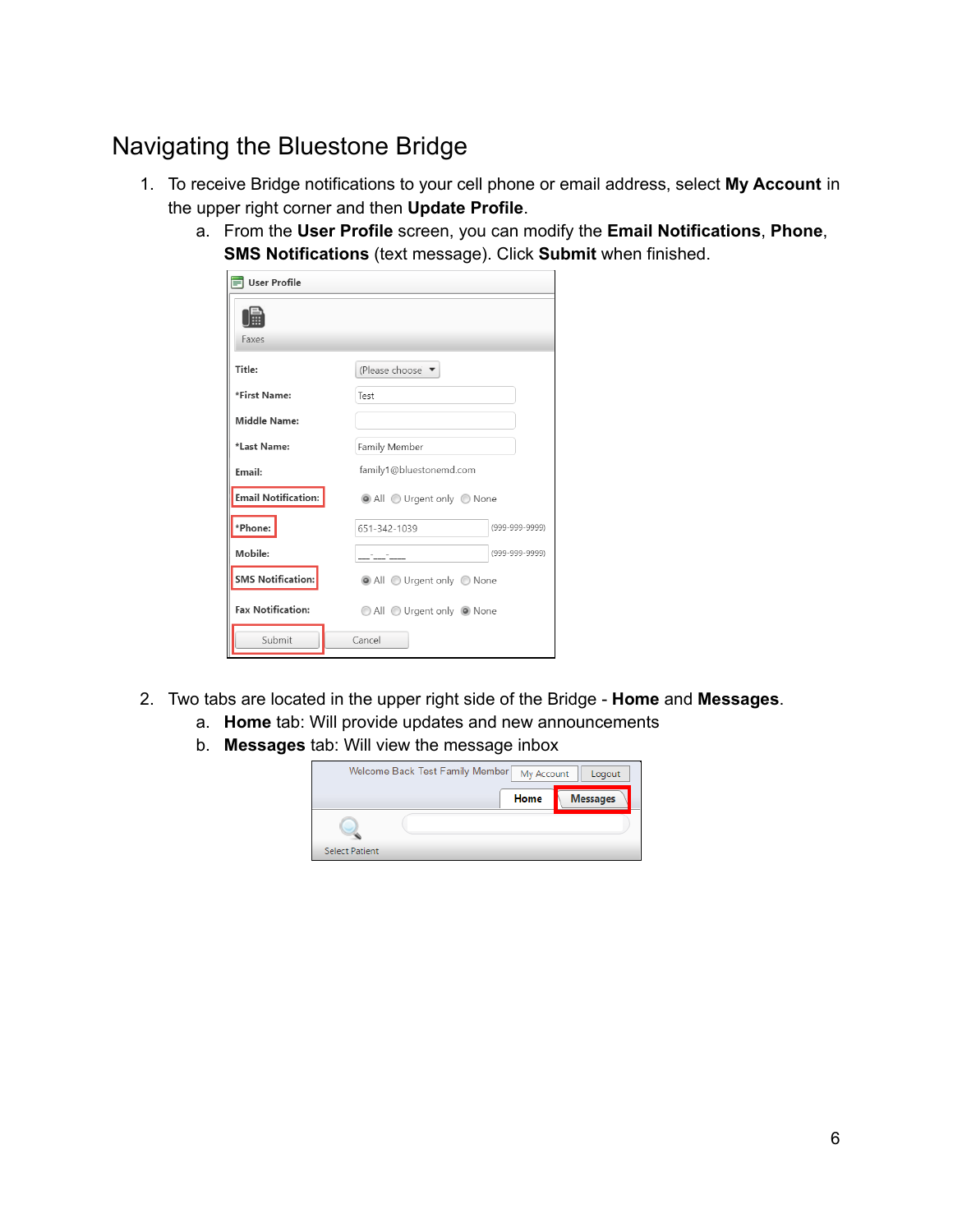# <span id="page-5-0"></span>Navigating the Bluestone Bridge

- 1. To receive Bridge notifications to your cell phone or email address, select **My Account** in the upper right corner and then **Update Profile**.
	- a. From the **User Profile** screen, you can modify the **Email Notifications**, **Phone**, **SMS Notifications** (text message). Click **Submit** when finished.

| User Profile               |                                |
|----------------------------|--------------------------------|
| Faxes                      |                                |
| Title:                     | (Please choose ▼               |
| *First Name:               | Test                           |
| Middle Name:               |                                |
| *Last Name:                | Family Member                  |
| Email:                     | family1@bluestonemd.com        |
| <b>Email Notification:</b> | All Urgent only None           |
| *Phone:                    | (999-999-9999)<br>651-342-1039 |
| Mobile:                    | (999-999-9999)                 |
| <b>SMS Notification:</b>   | All Urgent only None           |
| <b>Fax Notification:</b>   | All Urgent only O None         |
| Submit                     | Cancel                         |

- 2. Two tabs are located in the upper right side of the Bridge **Home** and **Messages**.
	- a. **Home** tab: Will provide updates and new announcements
	- b. **Messages** tab: Will view the message inbox

|                       | Welcome Back Test Family Member | My Account | Logout          |
|-----------------------|---------------------------------|------------|-----------------|
|                       |                                 | Home       | <b>Messages</b> |
|                       |                                 |            |                 |
| <b>Select Patient</b> |                                 |            |                 |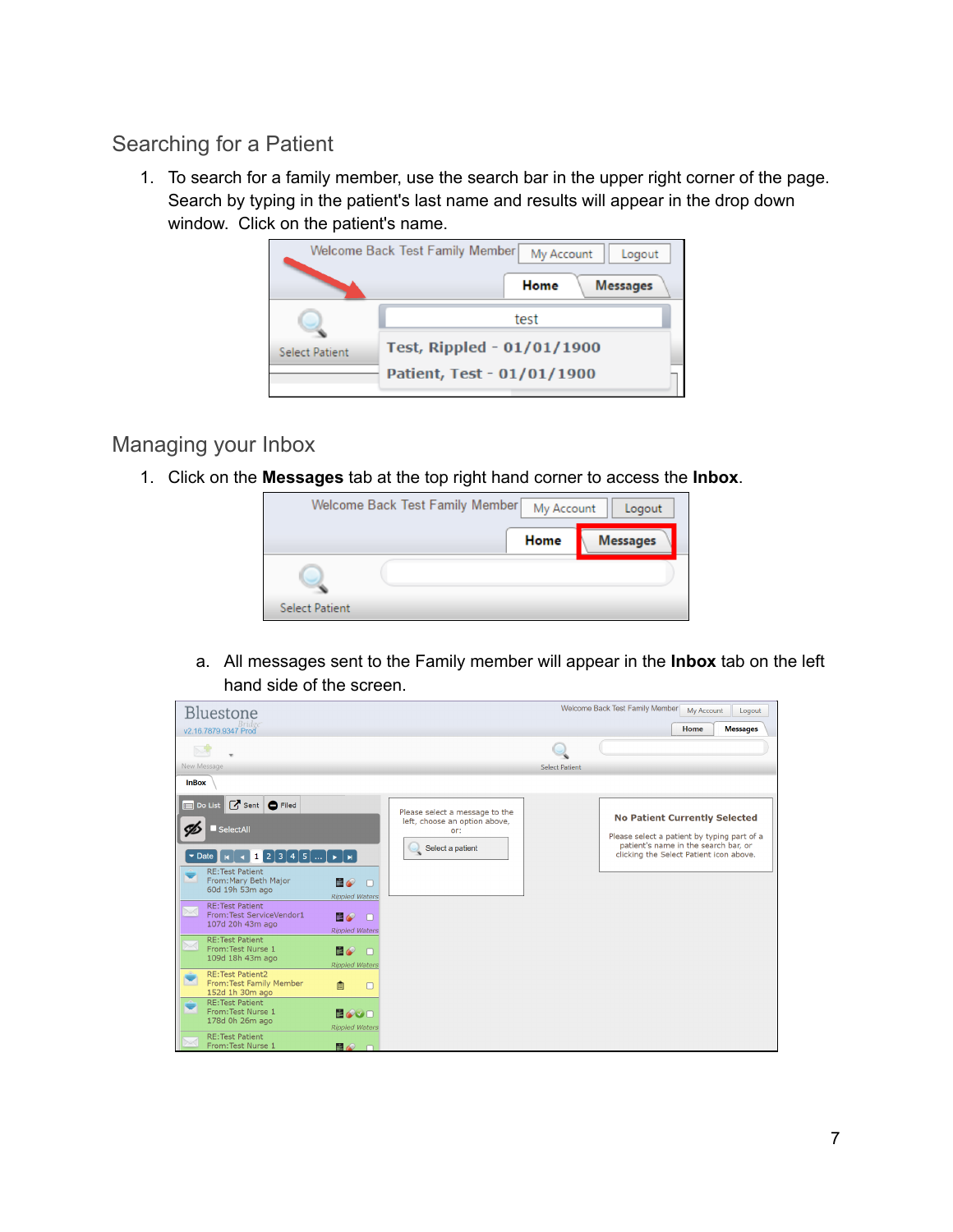### <span id="page-6-0"></span>Searching for a Patient

1. To search for a family member, use the search bar in the upper right corner of the page. Search by typing in the patient's last name and results will appear in the drop down window. Click on the patient's name.



### <span id="page-6-1"></span>Managing your Inbox

1. Click on the **Messages** tab at the top right hand corner to access the **Inbox**.



a. All messages sent to the Family member will appear in the **Inbox** tab on the left hand side of the screen.

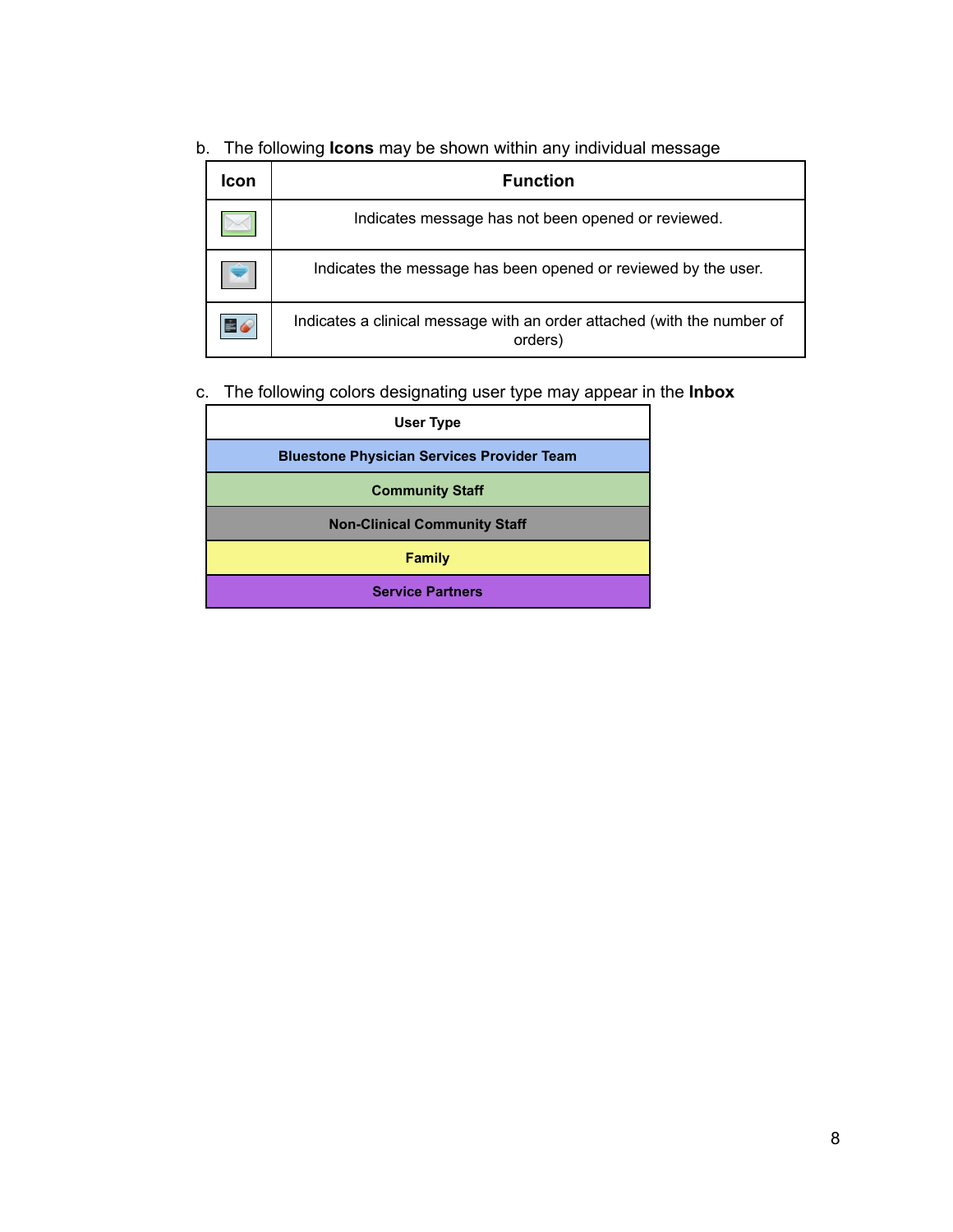b. The following **Icons** may be shown within any individual message

| Icon | <b>Function</b>                                                                    |
|------|------------------------------------------------------------------------------------|
|      | Indicates message has not been opened or reviewed.                                 |
|      | Indicates the message has been opened or reviewed by the user.                     |
| E6   | Indicates a clinical message with an order attached (with the number of<br>orders) |

#### c. The following colors designating user type may appear in the **Inbox**

| User Type                                         |
|---------------------------------------------------|
| <b>Bluestone Physician Services Provider Team</b> |
| <b>Community Staff</b>                            |
| <b>Non-Clinical Community Staff</b>               |
| Family                                            |
| <b>Service Partners</b>                           |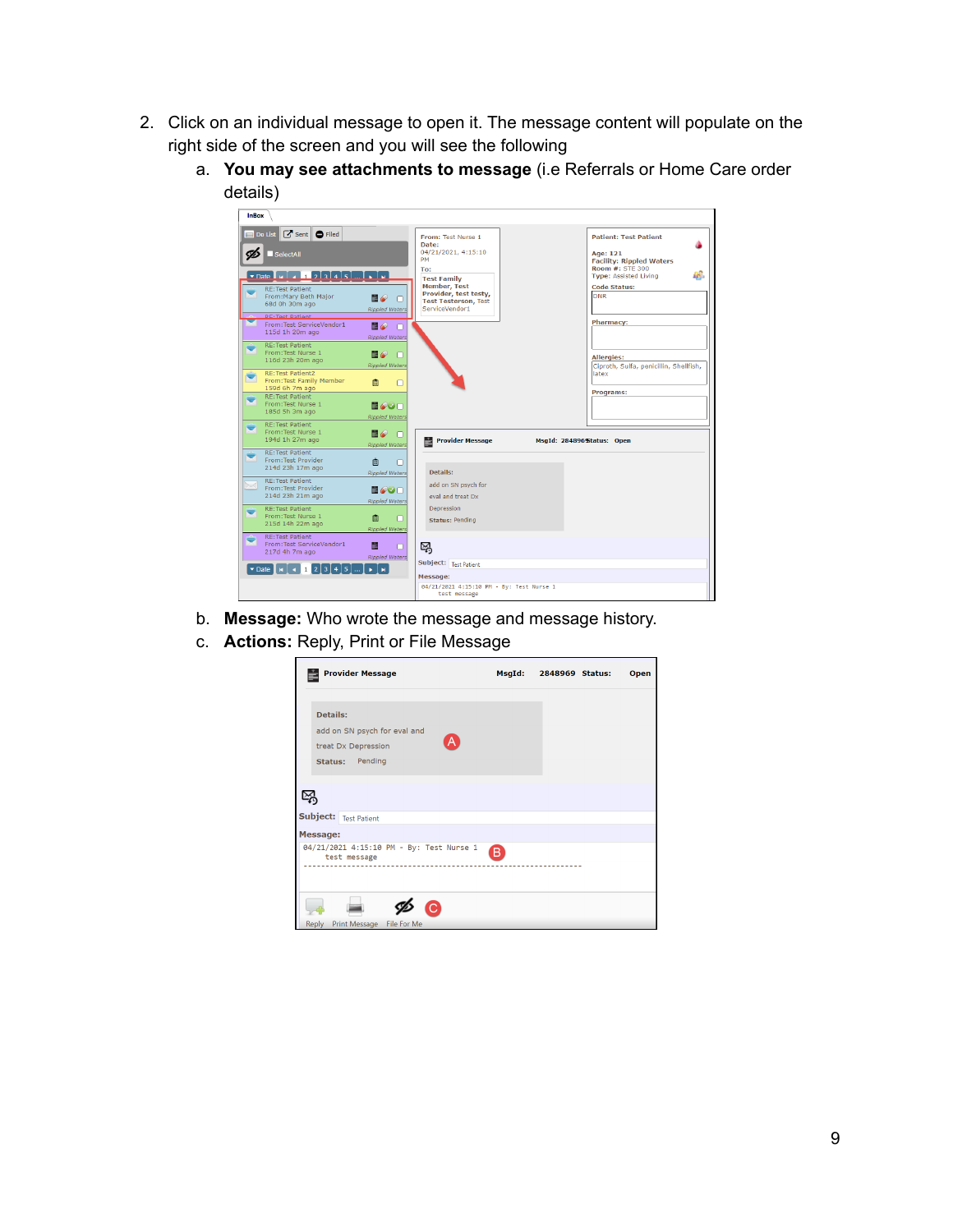- 2. Click on an individual message to open it. The message content will populate on the right side of the screen and you will see the following
	- a. **You may see attachments to message** (i.e Referrals or Home Care order details)

| <b>InBox</b>                                                                                                                                                                                                                                                                                                                                                                                                                                                                                                                                                                            |                                                                                                                     |                                                                                                                                                                                               |                                                                                          |                                                                                                                                                                            |
|-----------------------------------------------------------------------------------------------------------------------------------------------------------------------------------------------------------------------------------------------------------------------------------------------------------------------------------------------------------------------------------------------------------------------------------------------------------------------------------------------------------------------------------------------------------------------------------------|---------------------------------------------------------------------------------------------------------------------|-----------------------------------------------------------------------------------------------------------------------------------------------------------------------------------------------|------------------------------------------------------------------------------------------|----------------------------------------------------------------------------------------------------------------------------------------------------------------------------|
| Do List <b>G</b> Sent <b>O</b> Filed<br>SelectAll<br>$\triangleright$ Date $\blacksquare$ $\blacksquare$ $\blacksquare$ $\blacksquare$ $\blacksquare$ $\blacksquare$ $\blacksquare$ $\blacksquare$ $\blacksquare$ $\blacksquare$ $\blacksquare$ $\blacksquare$ $\blacksquare$ $\blacksquare$<br><b>RE:Test Patient</b><br>From: Mary Beth Major<br>68d 0h 30m ago<br><b>RE-Tect Dationt</b><br>From:Test ServiceVendor1<br>115d 1h 20m ago<br><b>RE:Test Patient</b><br>From: Test Nurse 1<br>116d 23h 20m ago<br><b>RE:Test Patient2</b><br>From: Test Family Member<br>159d 6h 7m ago | BO<br>n<br><b>Rippled Waters</b><br>目の<br>n<br><b>Rippled Waters</b><br>e a<br>n<br><b>Rippled Waters</b><br>曲<br>n | From: Test Nurse 1<br>Date:<br>04/21/2021. 4:15:10<br><b>PM</b><br>To:<br><b>Test Family</b><br><b>Member, Test</b><br>Provider, test testy,<br><b>Test Testerson, Test</b><br>ServiceVendor1 | Age: 121<br><b>Code Status:</b><br>DNR<br><b>Pharmacy:</b><br><b>Allergies:</b><br>latex | <b>Patient: Test Patient</b><br><b>Facility: Rippled Waters</b><br><b>Room #: STE 300</b><br>ĐĴ.<br><b>Type: Assisted Living</b><br>Ciproth, Sulfa, penicillin, Shellfish, |
| <b>RE:Test Patient</b><br>From: Test Nurse 1<br>185d 5h 3m ago                                                                                                                                                                                                                                                                                                                                                                                                                                                                                                                          | e oo<br><b>Rippled Waters</b>                                                                                       |                                                                                                                                                                                               | Programs:                                                                                |                                                                                                                                                                            |
| <b>RE:Test Patient</b><br>From: Test Nurse 1<br>194d 1h 27m ago                                                                                                                                                                                                                                                                                                                                                                                                                                                                                                                         | e de<br>n<br><b>Rippled Waters</b>                                                                                  | <b>Provider Message</b><br>÷                                                                                                                                                                  | MsgId: 284896 Status: Open                                                               |                                                                                                                                                                            |
| <b>RE:Test Patient</b><br>From: Test Provider<br>214d 23h 17m ago<br><b>RE:Test Patient</b><br>From: Test Provider                                                                                                                                                                                                                                                                                                                                                                                                                                                                      | 曲<br><b>Rippled Waters</b><br>EOOO                                                                                  | Details:<br>add on SN psych for                                                                                                                                                               |                                                                                          |                                                                                                                                                                            |
| 214d 23h 21m ago<br><b>RE:Test Patient</b><br>From: Test Nurse 1<br>215d 14h 22m ago                                                                                                                                                                                                                                                                                                                                                                                                                                                                                                    | <b>Rippled Waters</b><br>自<br>n<br><b>Rippled Waters</b>                                                            | eval and treat Dx<br>Depression<br><b>Status: Pending</b>                                                                                                                                     |                                                                                          |                                                                                                                                                                            |
| <b>RE:Test Patient</b><br>From:Test ServiceVendor1<br>217d 4h 7m ago<br>$\triangleright$ Date $\blacksquare$ $\blacksquare$ $\blacksquare$ $\blacksquare$ $\blacksquare$ $\blacksquare$ $\blacksquare$ $\blacksquare$ $\blacksquare$ $\blacksquare$ $\blacksquare$ $\blacksquare$ $\blacksquare$ $\blacksquare$ $\blacksquare$ $\blacksquare$ $\blacksquare$ $\blacksquare$ $\blacksquare$ $\blacksquare$ $\blacksquare$ $\blacksquare$ $\blacksquare$ $\blacksquare$ $\blacksquare$ $\blacksquare$ $\blacksquare$ $\blacksquare$ $\blacksquare$ $\blacksquare$                         | Ė.<br><b>Rippled Waters</b>                                                                                         | 吗<br>Subject: Test Patient<br>Message:                                                                                                                                                        |                                                                                          |                                                                                                                                                                            |
|                                                                                                                                                                                                                                                                                                                                                                                                                                                                                                                                                                                         |                                                                                                                     | 04/21/2021 4:15:10 PM - By: Test Nurse 1<br>test message                                                                                                                                      |                                                                                          |                                                                                                                                                                            |

- b. **Message:** Who wrote the message and message history.
- <span id="page-8-0"></span>c. **Actions:** Reply, Print or File Message

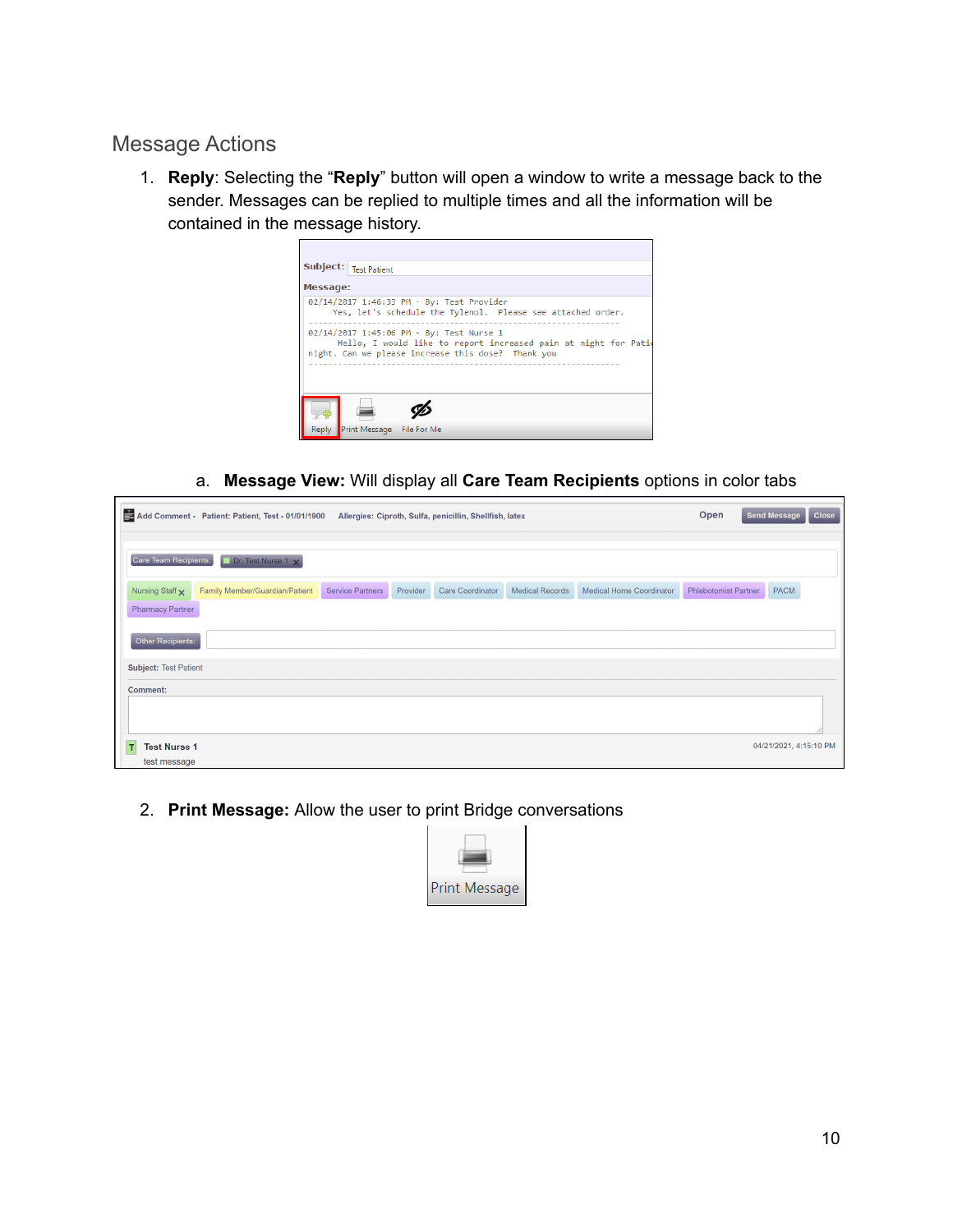#### Message Actions

1. **Reply**: Selecting the "**Reply**" button will open a window to write a message back to the sender. Messages can be replied to multiple times and all the information will be contained in the message history.



a. **Message View:** Will display all **Care Team Recipients** options in color tabs

|                                                 | Add Comment - Patient: Patient, Test - 01/01/1900 |                  |          | Allergies: Ciproth, Sulfa, penicillin, Shellfish, latex |                        |                                 | Open                        | <b>Send Message</b>    | <b>Close</b> |
|-------------------------------------------------|---------------------------------------------------|------------------|----------|---------------------------------------------------------|------------------------|---------------------------------|-----------------------------|------------------------|--------------|
| Care Team Recipients:                           | Dr. Test Nurse 1 x                                |                  |          |                                                         |                        |                                 |                             |                        |              |
| Nursing Staff x                                 | Family Member/Guardian/Patient                    | Service Partners | Provider | <b>Care Coordinator</b>                                 | <b>Medical Records</b> | <b>Medical Home Coordinator</b> | <b>Phlebotomist Partner</b> | PACM                   |              |
| <b>Pharmacy Partner</b>                         |                                                   |                  |          |                                                         |                        |                                 |                             |                        |              |
| Other Recipients:                               |                                                   |                  |          |                                                         |                        |                                 |                             |                        |              |
| <b>Subject: Test Patient</b><br><b>Comment:</b> |                                                   |                  |          |                                                         |                        |                                 |                             |                        |              |
|                                                 |                                                   |                  |          |                                                         |                        |                                 |                             |                        |              |
| <b>Test Nurse 1</b><br>т                        |                                                   |                  |          |                                                         |                        |                                 |                             | 04/21/2021, 4:15:10 PM |              |
| test message                                    |                                                   |                  |          |                                                         |                        |                                 |                             |                        |              |

2. **Print Message:** Allow the user to print Bridge conversations